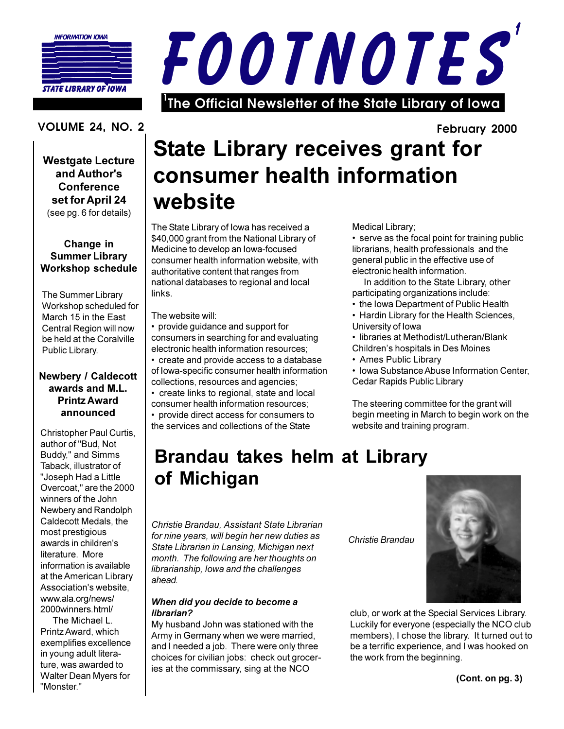

**STATE LIBRARY OF IOWA** 



#### **VOLUME 24. NO. 2**

**Westgate Lecture** and Author's Conference set for April 24 (see pg. 6 for details)

#### Change in **Summer Library Workshop schedule**

The Summer Library Workshop scheduled for March 15 in the East Central Region will now be held at the Coralville Public Library.

#### **Newbery / Caldecott** awards and M.L. **Printz Award** announced

Christopher Paul Curtis, author of "Bud, Not Buddy," and Simms Taback, illustrator of "Joseph Had a Little Overcoat." are the 2000 winners of the John Newbery and Randolph Caldecott Medals, the most prestigious awards in children's literature. More information is available at the American Library Association's website, www.ala.org/news/ 2000winners.html/

The Michael L. Printz Award, which exemplifies excellence in young adult literature, was awarded to Walter Dean Myers for "Monster."

### February 2000 **State Library receives grant for** consumer health information website

The State Library of Iowa has received a \$40,000 grant from the National Library of Medicine to develop an Iowa-focused consumer health information website, with authoritative content that ranges from national databases to regional and local links.

The website will:

- provide guidance and support for consumers in searching for and evaluating electronic health information resources:
- create and provide access to a database of Iowa-specific consumer health information collections, resources and agencies;
- create links to regional, state and local consumer health information resources;

• provide direct access for consumers to the services and collections of the State

Medical Library;

• serve as the focal point for training public librarians, health professionals and the general public in the effective use of electronic health information.

In addition to the State Library, other participating organizations include:

- the Iowa Department of Public Health
- Hardin Library for the Health Sciences, University of Iowa

· libraries at Methodist/Lutheran/Blank

- Children's hospitals in Des Moines
- Ames Public Library

• Iowa Substance Abuse Information Center, Cedar Rapids Public Library

The steering committee for the grant will begin meeting in March to begin work on the website and training program.

### **Brandau takes helm at Library** of Michigan

Christie Brandau, Assistant State Librarian for nine years, will begin her new duties as State Librarian in Lansing, Michigan next month. The following are her thoughts on librarianship. lowa and the challenges ahead.

#### When did you decide to become a librarian?

My husband John was stationed with the Army in Germany when we were married, and I needed a job. There were only three choices for civilian jobs: check out groceries at the commissary, sing at the NCO

Christie Brandau



club, or work at the Special Services Library. Luckily for everyone (especially the NCO club members), I chose the library. It turned out to be a terrific experience, and I was hooked on the work from the beginning.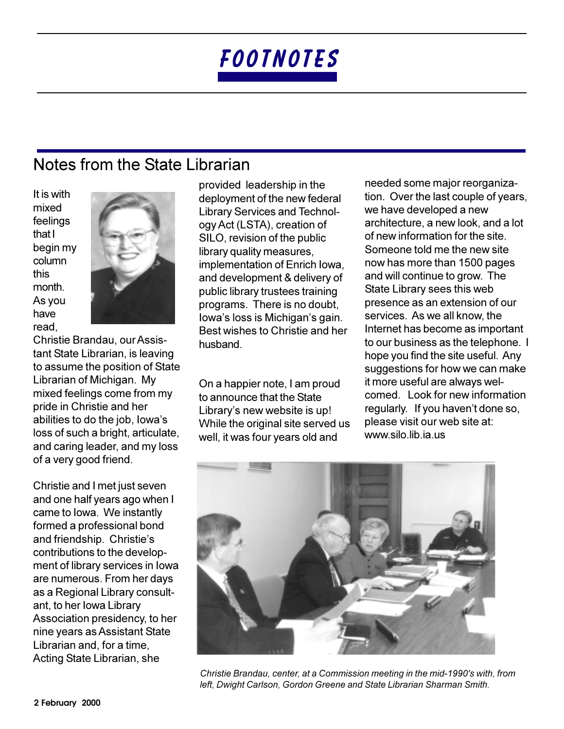### Notes from the State Librarian

It is with mixed feelings that I begin my column this month. As vou have read.



Christie Brandau, our Assistant State Librarian, is leaving to assume the position of State Librarian of Michigan. My mixed feelings come from my pride in Christie and her abilities to do the job, lowa's loss of such a bright, articulate, and caring leader, and my loss of a very good friend.

Christie and I met just seven and one half years ago when I came to lowa. We instantly formed a professional bond and friendship. Christie's contributions to the development of library services in lowa are numerous. From her days as a Regional Library consultant, to her lowa Library Association presidency, to her nine years as Assistant State Librarian and, for a time. Acting State Librarian, she

provided leadership in the deployment of the new federal **Library Services and Technol**ogy Act (LSTA), creation of SILO, revision of the public library quality measures, implementation of Enrich Iowa, and development & delivery of public library trustees training programs. There is no doubt, Iowa's loss is Michigan's gain. Best wishes to Christie and her husband.

On a happier note, I am proud to announce that the State Library's new website is up! While the original site served us well, it was four years old and

needed some major reorganization. Over the last couple of years, we have developed a new architecture, a new look, and a lot of new information for the site Someone told me the new site now has more than 1500 pages and will continue to grow. The State Library sees this web presence as an extension of our services. As we all know, the Internet has become as important to our business as the telephone. I hope you find the site useful. Any suggestions for how we can make it more useful are always welcomed. Look for new information regularly. If you haven't done so, please visit our web site at: www.silo.lib.ia.us



Christie Brandau, center, at a Commission meeting in the mid-1990's with, from left, Dwight Carlson, Gordon Greene and State Librarian Sharman Smith.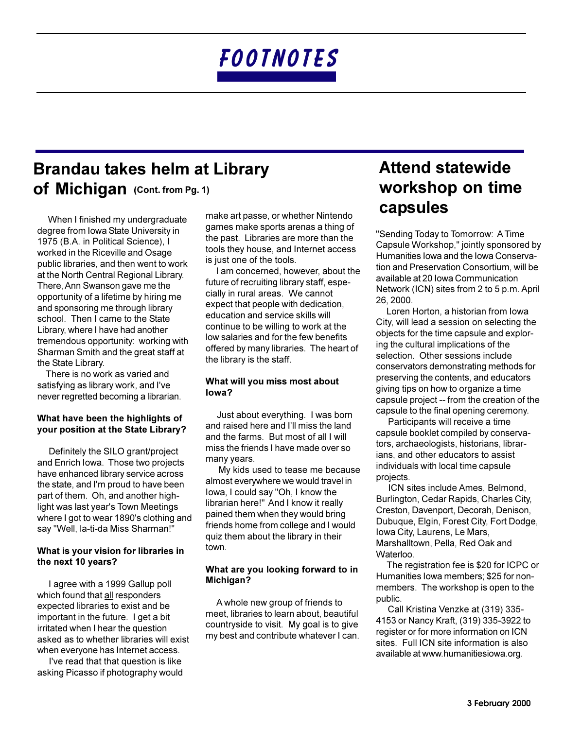### **Brandau takes helm at Library** Of Michigan (Cont. from Pg. 1)

When I finished my undergraduate degree from Iowa State University in 1975 (B.A. in Political Science), I worked in the Riceville and Osage public libraries, and then went to work at the North Central Regional Library. There, Ann Swanson gave me the opportunity of a lifetime by hiring me and sponsoring me through library school. Then I came to the State Library, where I have had another tremendous opportunity: working with Sharman Smith and the great staff at the State Library.

There is no work as varied and satisfying as library work, and I've never regretted becoming a librarian.

#### What have been the highlights of your position at the State Library?

Definitely the SILO grant/project and Enrich Iowa. Those two projects have enhanced library service across the state, and I'm proud to have been part of them. Oh, and another highlight was last year's Town Meetings where I got to wear 1890's clothing and say "Well, la-ti-da Miss Sharman!"

#### What is your vision for libraries in the next 10 years?

I agree with a 1999 Gallup poll which found that all responders expected libraries to exist and be important in the future. I get a bit irritated when I hear the question asked as to whether libraries will exist when everyone has Internet access.

I've read that that question is like asking Picasso if photography would make art passe, or whether Nintendo games make sports arenas a thing of the past. Libraries are more than the tools they house, and Internet access is just one of the tools.

I am concerned, however, about the future of recruiting library staff, especially in rural areas. We cannot expect that people with dedication. education and service skills will continue to be willing to work at the low salaries and for the few benefits offered by many libraries. The heart of the library is the staff.

#### What will you miss most about  $I_0wa$ ?

Just about everything. I was born and raised here and I'll miss the land and the farms. But most of all I will miss the friends I have made over so many years.

My kids used to tease me because almost everywhere we would travel in lowa, I could say "Oh, I know the librarian here!" And I know it really pained them when they would bring friends home from college and I would quiz them about the library in their town.

#### What are you looking forward to in Michigan?

A whole new group of friends to meet, libraries to learn about, beautiful countryside to visit. My goal is to give my best and contribute whatever I can.

### **Attend statewide** workshop on time capsules

"Sending Today to Tomorrow: A Time Capsule Workshop," jointly sponsored by Humanities Iowa and the Iowa Conservation and Preservation Consortium, will be available at 20 Iowa Communication Network (ICN) sites from 2 to 5 p.m. April 26, 2000.

Loren Horton, a historian from Iowa City, will lead a session on selecting the objects for the time capsule and exploring the cultural implications of the selection. Other sessions include conservators demonstrating methods for preserving the contents, and educators giving tips on how to organize a time capsule project -- from the creation of the capsule to the final opening ceremony.

Participants will receive a time capsule booklet compiled by conservators, archaeologists, historians, librarians, and other educators to assist individuals with local time capsule projects.

ICN sites include Ames, Belmond, Burlington, Cedar Rapids, Charles City, Creston, Davenport, Decorah, Denison, Dubuque, Elgin, Forest City, Fort Dodge, Iowa City, Laurens, Le Mars, Marshalltown, Pella, Red Oak and Waterloo.

The registration fee is \$20 for ICPC or Humanities lowa members; \$25 for nonmembers. The workshop is open to the public.

Call Kristina Venzke at (319) 335-4153 or Nancy Kraft, (319) 335-3922 to register or for more information on ICN sites. Full ICN site information is also available at www.humanitiesiowa.org.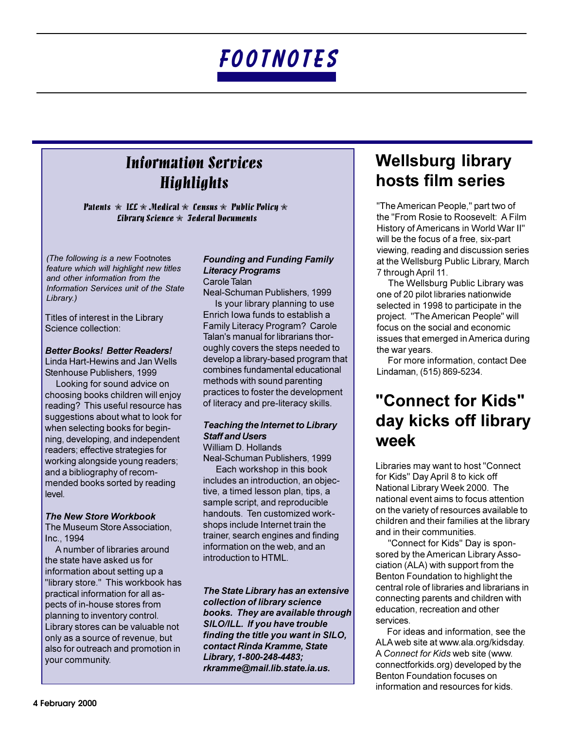### **Information Services Highlights**

**Patents**  $\hat{\mathcal{R}}$  **ILL**  $\hat{\mathcal{R}}$  **Medical**  $\hat{\mathcal{R}}$  **Census**  $\hat{\mathcal{R}}$  **Public Policy**  $\hat{\mathcal{R}}$ *Cibrary Science*  $\hat{\mathbf{x}}$  *Jederal Documents* 

(The following is a new Footnotes feature which will highlight new titles and other information from the Information Services unit of the State Library.)

Titles of interest in the Library Science collection:

#### **Better Books! Better Readers!**

Linda Hart-Hewins and Jan Wells Stenhouse Publishers, 1999

Looking for sound advice on choosing books children will enjoy reading? This useful resource has suggestions about what to look for when selecting books for beginning, developing, and independent readers; effective strategies for working alongside young readers; and a bibliography of recommended books sorted by reading level.

#### **The New Store Workbook**

The Museum Store Association, Inc., 1994

A number of libraries around the state have asked us for information about setting up a "library store." This workbook has practical information for all aspects of in-house stores from planning to inventory control. Library stores can be valuable not only as a source of revenue, but also for outreach and promotion in your community.

#### **Founding and Funding Family Literacy Programs** Carole Talan

Neal-Schuman Publishers, 1999

Is your library planning to use Enrich Iowa funds to establish a Family Literacy Program? Carole Talan's manual for librarians thoroughly covers the steps needed to develop a library-based program that combines fundamental educational methods with sound parenting practices to foster the development of literacy and pre-literacy skills.

#### **Teaching the Internet to Library Staff and Users** William D. Hollands

Neal-Schuman Publishers, 1999

Each workshop in this book includes an introduction, an objective, a timed lesson plan, tips, a sample script, and reproducible handouts. Ten customized workshops include Internet train the trainer, search engines and finding information on the web, and an introduction to HTML.

The State Library has an extensive collection of library science books. They are available through SILO/ILL. If you have trouble finding the title you want in SILO, contact Rinda Kramme, State Library, 1-800-248-4483; rkramme@mail.lib.state.ia.us.

### **Wellsburg library** hosts film series

"The American People," part two of the "From Rosie to Roosevelt: A Film History of Americans in World War II" will be the focus of a free, six-part viewing, reading and discussion series at the Wellsburg Public Library, March 7 through April 11.

The Wellsburg Public Library was one of 20 pilot libraries nationwide selected in 1998 to participate in the project. "The American People" will focus on the social and economic issues that emerged in America during the war years.

For more information, contact Dee Lindaman, (515) 869-5234.

### "Connect for Kids" day kicks off library week

Libraries may want to host "Connect for Kids" Day April 8 to kick off National Library Week 2000. The national event aims to focus attention on the variety of resources available to children and their families at the library and in their communities.

"Connect for Kids" Day is sponsored by the American Library Association (ALA) with support from the Benton Foundation to highlight the central role of libraries and librarians in connecting parents and children with education, recreation and other services.

For ideas and information, see the ALA web site at www.ala.org/kidsday. A Connect for Kids web site (www. connectforkids.org) developed by the Benton Foundation focuses on information and resources for kids.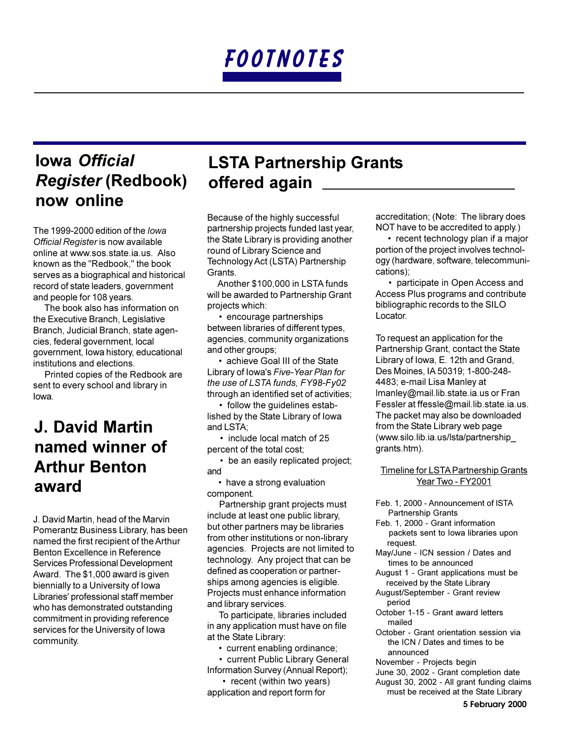### **Iowa Official Register (Redbook)** now online

The 1999-2000 edition of the lowa Official Register is now available online at www.sos.state.ia.us. Also known as the "Redbook," the book serves as a biographical and historical record of state leaders, government and people for 108 years.

The book also has information on the Executive Branch, Legislative Branch, Judicial Branch, state agencies, federal government, local government, Iowa history, educational institutions and elections.

Printed copies of the Redbook are sent to every school and library in lowa.

### **J. David Martin** named winner of **Arthur Benton** award

J. David Martin, head of the Marvin Pomerantz Business Library, has been named the first recipient of the Arthur Benton Excellence in Reference Services Professional Development Award. The \$1,000 award is given biennially to a University of Iowa Libraries' professional staff member who has demonstrated outstanding commitment in providing reference services for the University of Iowa community.

### **LSTA Partnership Grants** offered again \_

Because of the highly successful partnership projects funded last year, the State Library is providing another round of Library Science and Technology Act (LSTA) Partnership Grants.

Another \$100,000 in LSTA funds will be awarded to Partnership Grant projects which:

• encourage partnerships between libraries of different types, agencies, community organizations and other groups;

• achieve Goal III of the State Library of Iowa's Five-Year Plan for the use of LSTA funds, FY98-Fy02 through an identified set of activities;

• follow the guidelines established by the State Library of Iowa and LSTA;

• include local match of 25 percent of the total cost:

• be an easily replicated project; and

• have a strong evaluation component.

Partnership grant projects must include at least one public library, but other partners may be libraries from other institutions or non-library agencies. Projects are not limited to technology. Any project that can be defined as cooperation or partnerships among agencies is eligible. Projects must enhance information and library services.

To participate, libraries included in any application must have on file at the State Library:

- current enabling ordinance;
- current Public Library General Information Survey (Annual Report);

• recent (within two years) application and report form for

accreditation; (Note: The library does NOT have to be accredited to apply.)

• recent technology plan if a major portion of the project involves technology (hardware, software, telecommunications):

• participate in Open Access and Access Plus programs and contribute bibliographic records to the SILO Locator.

To request an application for the Partnership Grant, contact the State Library of Iowa, E. 12th and Grand, Des Moines. IA 50319: 1-800-248-4483; e-mail Lisa Manley at Imanley@mail.lib.state.ia.us or Fran Fessler at ffessle@mail.lib.state.ia.us. The packet may also be downloaded from the State Library web page (www.silo.lib.ia.us/lsta/partnership grants.htm).

#### Timeline for LSTA Partnership Grants Year Two - FY2001

- Feb. 1. 2000 Announcement of ISTA **Partnership Grants**
- Feb. 1. 2000 Grant information packets sent to lowa libraries upon request.
- May/June ICN session / Dates and times to be announced
- August 1 Grant applications must be received by the State Library
- August/September Grant review period
- October 1-15 Grant award letters mailed
- October Grant orientation session via the ICN / Dates and times to be announced
- November Projects begin
- June 30, 2002 Grant completion date
- August 30, 2002 All grant funding claims must be received at the State Library

5 February 2000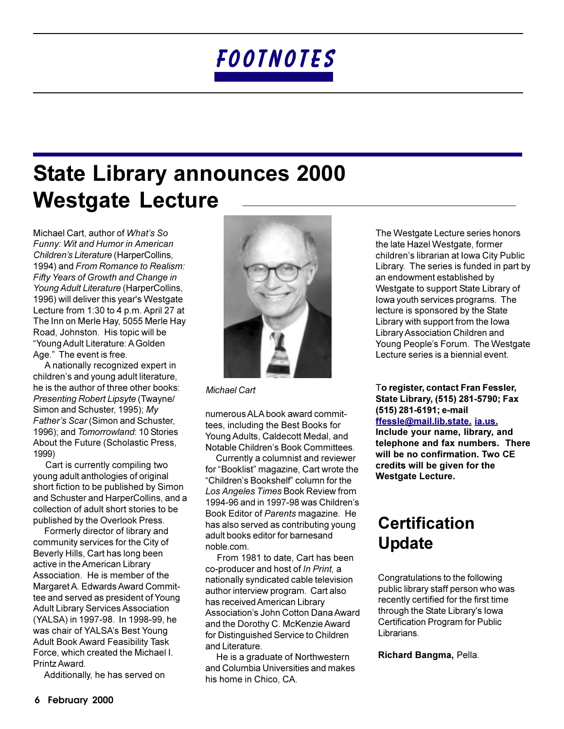## **State Library announces 2000 Westgate Lecture**

Michael Cart, author of What's So Funny: Wit and Humor in American Children's Literature (HarperCollins, 1994) and From Romance to Realism: Fifty Years of Growth and Change in Young Adult Literature (HarperCollins, 1996) will deliver this year's Westgate Lecture from 1:30 to 4 p.m. April 27 at The Inn on Merle Hay, 5055 Merle Hay Road, Johnston. His topic will be "Young Adult Literature: A Golden Age." The event is free.

A nationally recognized expert in children's and young adult literature. he is the author of three other books: Presenting Robert Lipsyte (Twayne/ Simon and Schuster, 1995); My Father's Scar (Simon and Schuster, 1996): and Tomorrowland: 10 Stories About the Future (Scholastic Press, 1999)

Cart is currently compiling two young adult anthologies of original short fiction to be published by Simon and Schuster and HarperCollins, and a collection of adult short stories to be published by the Overlook Press.

Formerly director of library and community services for the City of Beverly Hills, Cart has long been active in the American Library Association. He is member of the Margaret A. Edwards Award Committee and served as president of Young **Adult Library Services Association** (YALSA) in 1997-98. In 1998-99, he was chair of YALSA's Best Young **Adult Book Award Feasibility Task** Force, which created the Michael I. Printz Award.

Additionally, he has served on



**Michael Cart** 

numerous ALA book award committees, including the Best Books for Young Adults, Caldecott Medal, and Notable Children's Book Committees.

Currently a columnist and reviewer for "Booklist" magazine, Cart wrote the "Children's Bookshelf" column for the Los Angeles Times Book Review from 1994-96 and in 1997-98 was Children's Book Editor of Parents magazine. He has also served as contributing young adult books editor for barnesand noble.com.

From 1981 to date, Cart has been co-producer and host of In Print, a nationally syndicated cable television author interview program. Cart also has received American Library Association's John Cotton Dana Award and the Dorothy C. McKenzie Award for Distinguished Service to Children and Literature.

He is a graduate of Northwestern and Columbia Universities and makes his home in Chico, CA.

The Westgate Lecture series honors the late Hazel Westgate, former children's librarian at Iowa City Public Library. The series is funded in part by an endowment established by Westgate to support State Library of lowa youth services programs. The lecture is sponsored by the State Library with support from the lowa Library Association Children and Young People's Forum. The Westgate Lecture series is a biennial event.

To register, contact Fran Fessler, State Library, (515) 281-5790; Fax (515) 281-6191; e-mail ffessle@mail.lib.state.ja.us. Include your name, library, and telephone and fax numbers. There will be no confirmation. Two CE credits will be given for the **Westgate Lecture.** 

### **Certification Update**

Congratulations to the following public library staff person who was recently certified for the first time through the State Library's lowa Certification Program for Public Librarians.

Richard Bangma, Pella.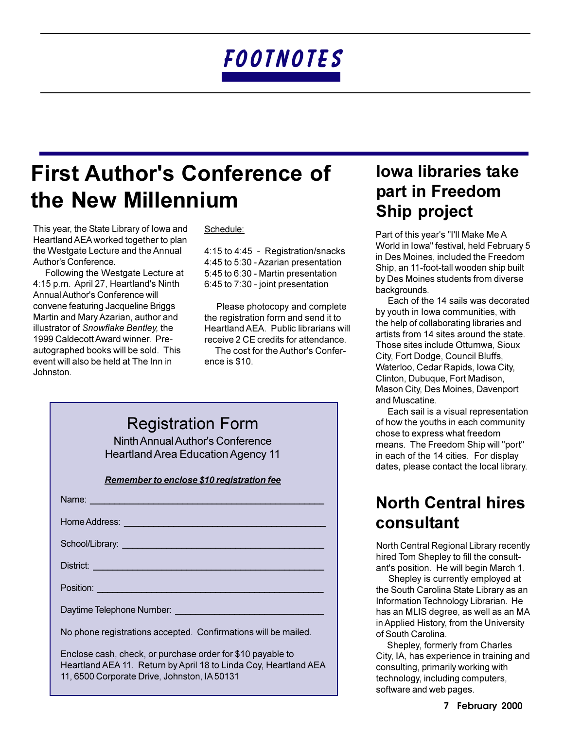## **First Author's Conference of** the New Millennium

This year, the State Library of Iowa and Heartland AEA worked together to plan the Westgate Lecture and the Annual Author's Conference.

Following the Westgate Lecture at 4:15 p.m. April 27, Heartland's Ninth Annual Author's Conference will convene featuring Jacqueline Briggs Martin and Mary Azarian, author and illustrator of Snowflake Bentley, the 1999 Caldecott Award winner. Preautographed books will be sold. This event will also be held at The Inn in Johnston.

#### Schedule:

4:15 to 4:45 - Registration/snacks 4:45 to 5:30 - Azarian presentation 5:45 to 6:30 - Martin presentation 6:45 to 7:30 - joint presentation

Please photocopy and complete the registration form and send it to Heartland AEA. Public librarians will receive 2 CE credits for attendance.

The cost for the Author's Conference is \$10.

| <b>Registration Form</b>                                                               |
|----------------------------------------------------------------------------------------|
| $\lambda$ limits $\Lambda$ in initial $\Lambda$ , the order $\Omega$ order order order |

Ninth Annual Author's Conference **Heartland Area Education Agency 11** 

#### Remember to enclose \$10 registration fee

| Name: Latin Communication and Communication and Communication and Communication and Communication and Communication                                                                                                                  |
|--------------------------------------------------------------------------------------------------------------------------------------------------------------------------------------------------------------------------------------|
| Home Address: <u>New York: New York: New York: New York: New York: New York: New York: New York: New York: New York: New York: New York: New York: New York: New York: New York: New York: New York: New York: New York: New Yor</u> |
|                                                                                                                                                                                                                                      |
| District: <u>Alexander Alexander Alexander Alexander Alexander Alexander Alexander Alexander Alexander Alexander</u>                                                                                                                 |
| Position:                                                                                                                                                                                                                            |
|                                                                                                                                                                                                                                      |
| No phone registrations accepted. Confirmations will be mailed.                                                                                                                                                                       |

Enclose cash, check, or purchase order for \$10 payable to Heartland AEA 11. Return by April 18 to Linda Coy, Heartland AEA 11, 6500 Corporate Drive, Johnston, IA 50131

### **lowa libraries take** part in Freedom **Ship project**

Part of this year's "I'll Make Me A World in Iowa" festival, held February 5 in Des Moines, included the Freedom Ship, an 11-foot-tall wooden ship built by Des Moines students from diverse backgrounds.

Each of the 14 sails was decorated by youth in lowa communities, with the help of collaborating libraries and artists from 14 sites around the state. Those sites include Ottumwa, Sioux City, Fort Dodge, Council Bluffs, Waterloo, Cedar Rapids, Iowa City, Clinton, Dubuque, Fort Madison, Mason City, Des Moines, Davenport and Muscatine.

Each sail is a visual representation of how the youths in each community chose to express what freedom means. The Freedom Ship will "port" in each of the 14 cities. For display dates, please contact the local library.

### **North Central hires** consultant

North Central Regional Library recently hired Tom Shepley to fill the consultant's position. He will begin March 1.

Shepley is currently employed at the South Carolina State Library as an Information Technology Librarian. He has an MLIS degree, as well as an MA in Applied History, from the University of South Carolina.

Shepley, formerly from Charles City, IA, has experience in training and consulting, primarily working with technology, including computers, software and web pages.